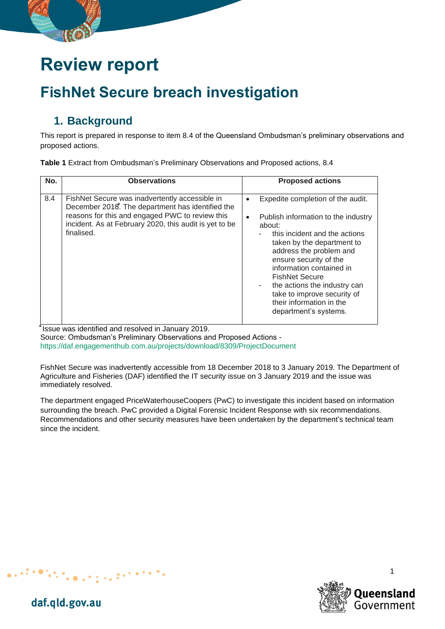# **Review report**

## **FishNet Secure breach investigation**

### **1. Background**

This report is prepared in response to item 8.4 of the Queensland Ombudsman's preliminary observations and proposed actions.

| Table 1 Extract from Ombudsman's Preliminary Observations and Proposed actions, 8.4 |  |
|-------------------------------------------------------------------------------------|--|
|-------------------------------------------------------------------------------------|--|

| No. | <b>Observations</b>                                                                                                                                                                                                           | <b>Proposed actions</b>                                                                                                                                                                                                                                                                                                                                                                                        |
|-----|-------------------------------------------------------------------------------------------------------------------------------------------------------------------------------------------------------------------------------|----------------------------------------------------------------------------------------------------------------------------------------------------------------------------------------------------------------------------------------------------------------------------------------------------------------------------------------------------------------------------------------------------------------|
| 8.4 | FishNet Secure was inadvertently accessible in<br>December 2018. The department has identified the<br>reasons for this and engaged PWC to review this<br>incident. As at February 2020, this audit is yet to be<br>finalised. | Expedite completion of the audit.<br>$\bullet$<br>Publish information to the industry<br>$\bullet$<br>about:<br>this incident and the actions<br>taken by the department to<br>address the problem and<br>ensure security of the<br>information contained in<br><b>FishNet Secure</b><br>the actions the industry can<br>٠<br>take to improve security of<br>their information in the<br>department's systems. |

\* Issue was identified and resolved in January 2019.

 $\sim 10^{-10}$ 

Source: Ombudsman's Preliminary Observations and Proposed Actions <https://daf.engagementhub.com.au/projects/download/8309/ProjectDocument>

FishNet Secure was inadvertently accessible from 18 December 2018 to 3 January 2019. The Department of Agriculture and Fisheries (DAF) identified the IT security issue on 3 January 2019 and the issue was immediately resolved.

The department engaged PriceWaterhouseCoopers (PwC) to investigate this incident based on information surrounding the breach. PwC provided a Digital Forensic Incident Response with six recommendations. Recommendations and other security measures have been undertaken by the department's technical team since the incident.



1

daf.qld.gov.au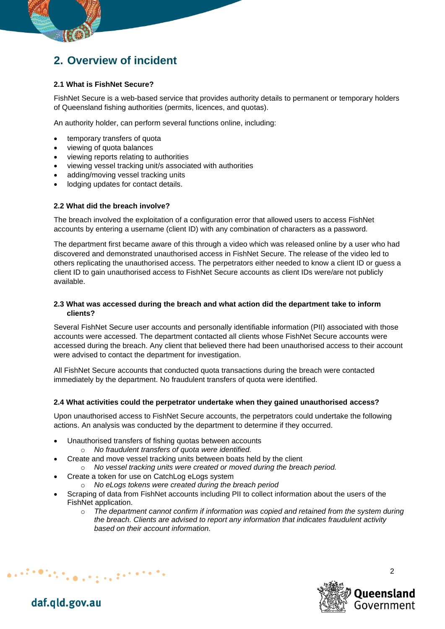### **2. Overview of incident**

#### **2.1 What is FishNet Secure?**

FishNet Secure is a web-based service that provides authority details to permanent or temporary holders of Queensland fishing authorities (permits, licences, and quotas).

An authority holder, can perform several functions online, including:

- temporary transfers of quota
- viewing of quota balances
- viewing reports relating to authorities
- viewing vessel tracking unit/s associated with authorities
- adding/moving vessel tracking units
- lodging updates for contact details.

#### **2.2 What did the breach involve?**

The breach involved the exploitation of a configuration error that allowed users to access FishNet accounts by entering a username (client ID) with any combination of characters as a password.

The department first became aware of this through a video which was released online by a user who had discovered and demonstrated unauthorised access in FishNet Secure. The release of the video led to others replicating the unauthorised access. The perpetrators either needed to know a client ID or guess a client ID to gain unauthorised access to FishNet Secure accounts as client IDs were/are not publicly available.

#### **2.3 What was accessed during the breach and what action did the department take to inform clients?**

Several FishNet Secure user accounts and personally identifiable information (PII) associated with those accounts were accessed. The department contacted all clients whose FishNet Secure accounts were accessed during the breach. Any client that believed there had been unauthorised access to their account were advised to contact the department for investigation.

All FishNet Secure accounts that conducted quota transactions during the breach were contacted immediately by the department. No fraudulent transfers of quota were identified.

#### **2.4 What activities could the perpetrator undertake when they gained unauthorised access?**

Upon unauthorised access to FishNet Secure accounts, the perpetrators could undertake the following actions. An analysis was conducted by the department to determine if they occurred.

- Unauthorised transfers of fishing quotas between accounts
	- o *No fraudulent transfers of quota were identified.*
- Create and move vessel tracking units between boats held by the client
	- o *No vessel tracking units were created or moved during the breach period.*
- Create a token for use on CatchLog eLogs system

 $\frac{1}{2} \left( \frac{1}{2} \right)^{\frac{1}{2}} \left( \frac{1}{2} \right)^{\frac{1}{2}} \left( \frac{1}{2} \right)^{\frac{1}{2}} \left( \frac{1}{2} \right)^{\frac{1}{2}} \left( \frac{1}{2} \right)^{\frac{1}{2}} \left( \frac{1}{2} \right)^{\frac{1}{2}} \left( \frac{1}{2} \right)^{\frac{1}{2}} \left( \frac{1}{2} \right)^{\frac{1}{2}} \left( \frac{1}{2} \right)^{\frac{1}{2}} \left( \frac{1}{2} \right)^{\frac{1}{2}} \left( \frac{1}{2} \right)^$ 

- o *No eLogs tokens were created during the breach period*
- Scraping of data from FishNet accounts including PII to collect information about the users of the FishNet application.
	- o *The department cannot confirm if information was copied and retained from the system during the breach. Clients are advised to report any information that indicates fraudulent activity based on their account information.*



daf.qld.gov.au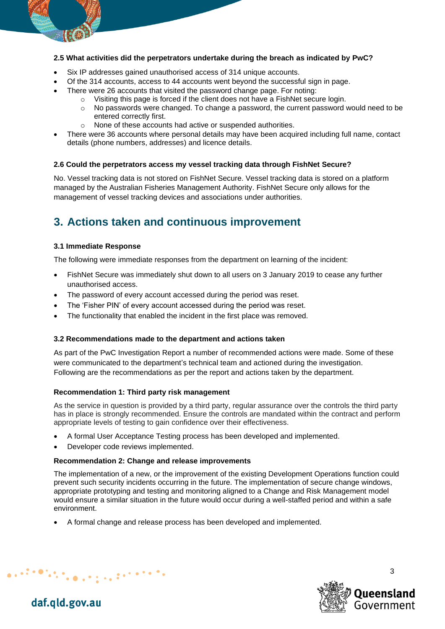#### **2.5 What activities did the perpetrators undertake during the breach as indicated by PwC?**

- Six IP addresses gained unauthorised access of 314 unique accounts.
- Of the 314 accounts, access to 44 accounts went beyond the successful sign in page.
- There were 26 accounts that visited the password change page. For noting:
	- $\circ$  Visiting this page is forced if the client does not have a FishNet secure login.
		- o No passwords were changed. To change a password, the current password would need to be entered correctly first.
		- o None of these accounts had active or suspended authorities.
- There were 36 accounts where personal details may have been acquired including full name, contact details (phone numbers, addresses) and licence details.

#### **2.6 Could the perpetrators access my vessel tracking data through FishNet Secure?**

No. Vessel tracking data is not stored on FishNet Secure. Vessel tracking data is stored on a platform managed by the Australian Fisheries Management Authority. FishNet Secure only allows for the management of vessel tracking devices and associations under authorities.

### **3. Actions taken and continuous improvement**

#### **3.1 Immediate Response**

The following were immediate responses from the department on learning of the incident:

- FishNet Secure was immediately shut down to all users on 3 January 2019 to cease any further unauthorised access.
- The password of every account accessed during the period was reset.
- The 'Fisher PIN' of every account accessed during the period was reset.
- The functionality that enabled the incident in the first place was removed.

#### **3.2 Recommendations made to the department and actions taken**

As part of the PwC Investigation Report a number of recommended actions were made. Some of these were communicated to the department's technical team and actioned during the investigation. Following are the recommendations as per the report and actions taken by the department.

#### **Recommendation 1: Third party risk management**

As the service in question is provided by a third party, regular assurance over the controls the third party has in place is strongly recommended. Ensure the controls are mandated within the contract and perform appropriate levels of testing to gain confidence over their effectiveness.

- A formal User Acceptance Testing process has been developed and implemented.
- Developer code reviews implemented.

 $\mathcal{L}_{\mathbf{C}}$  , and the state of the state  $\mathcal{L}_{\mathbf{C}}$ 

#### **Recommendation 2: Change and release improvements**

The implementation of a new, or the improvement of the existing Development Operations function could prevent such security incidents occurring in the future. The implementation of secure change windows, appropriate prototyping and testing and monitoring aligned to a Change and Risk Management model would ensure a similar situation in the future would occur during a well-staffed period and within a safe environment.

• A formal change and release process has been developed and implemented.



3

daf.qld.gov.au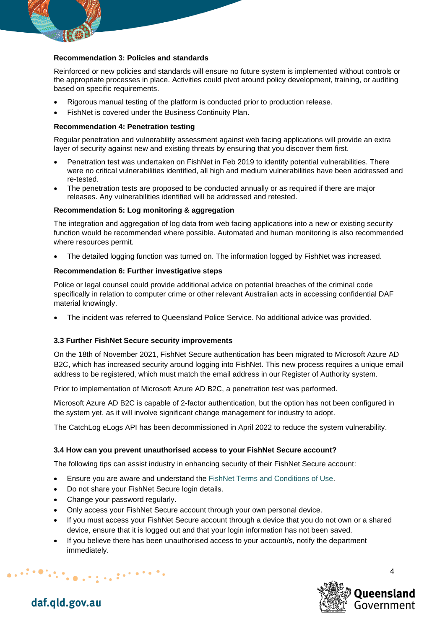

#### **Recommendation 3: Policies and standards**

Reinforced or new policies and standards will ensure no future system is implemented without controls or the appropriate processes in place. Activities could pivot around policy development, training, or auditing based on specific requirements.

- Rigorous manual testing of the platform is conducted prior to production release.
- FishNet is covered under the Business Continuity Plan.

#### **Recommendation 4: Penetration testing**

Regular penetration and vulnerability assessment against web facing applications will provide an extra layer of security against new and existing threats by ensuring that you discover them first.

- Penetration test was undertaken on FishNet in Feb 2019 to identify potential vulnerabilities. There were no critical vulnerabilities identified, all high and medium vulnerabilities have been addressed and re-tested.
- The penetration tests are proposed to be conducted annually or as required if there are major releases. Any vulnerabilities identified will be addressed and retested.

#### **Recommendation 5: Log monitoring & aggregation**

The integration and aggregation of log data from web facing applications into a new or existing security function would be recommended where possible. Automated and human monitoring is also recommended where resources permit.

• The detailed logging function was turned on. The information logged by FishNet was increased.

#### **Recommendation 6: Further investigative steps**

Police or legal counsel could provide additional advice on potential breaches of the criminal code specifically in relation to computer crime or other relevant Australian acts in accessing confidential DAF material knowingly.

• The incident was referred to Queensland Police Service. No additional advice was provided.

#### **3.3 Further FishNet Secure security improvements**

On the 18th of November 2021, FishNet Secure authentication has been migrated to Microsoft Azure AD B2C, which has increased security around logging into FishNet. This new process requires a unique email address to be registered, which must match the email address in our Register of Authority system.

Prior to implementation of Microsoft Azure AD B2C, a penetration test was performed.

Microsoft Azure AD B2C is capable of 2-factor authentication, but the option has not been configured in the system yet, as it will involve significant change management for industry to adopt.

The CatchLog eLogs API has been decommissioned in April 2022 to reduce the system vulnerability.

#### **3.4 How can you prevent unauthorised access to your FishNet Secure account?**

The following tips can assist industry in enhancing security of their FishNet Secure account:

- Ensure you are aware and understand the [FishNet Terms and Conditions of Use.](https://fishnet.fisheries.qld.gov.au/Content/Public/TermsAndConditions.aspx)
- Do not share your FishNet Secure login details.

 $\frac{1}{2} \left( \frac{1}{2} \right)^{\frac{1}{2}} \left( \frac{1}{2} \right)^{\frac{1}{2}} \left( \frac{1}{2} \right)^{\frac{1}{2}} \left( \frac{1}{2} \right)^{\frac{1}{2}} \left( \frac{1}{2} \right)^{\frac{1}{2}} \left( \frac{1}{2} \right)^{\frac{1}{2}} \left( \frac{1}{2} \right)^{\frac{1}{2}} \left( \frac{1}{2} \right)^{\frac{1}{2}} \left( \frac{1}{2} \right)^{\frac{1}{2}} \left( \frac{1}{2} \right)^{\frac{1}{2}} \left( \frac{1}{2} \right)^$ 

- Change your password regularly.
- Only access your FishNet Secure account through your own personal device.
- If you must access your FishNet Secure account through a device that you do not own or a shared device, ensure that it is logged out and that your login information has not been saved.
- If you believe there has been unauthorised access to your account/s, notify the department immediately.



daf.qld.gov.au

 $\bullet$   $\bullet$   $\bullet$ 

 $\Delta$